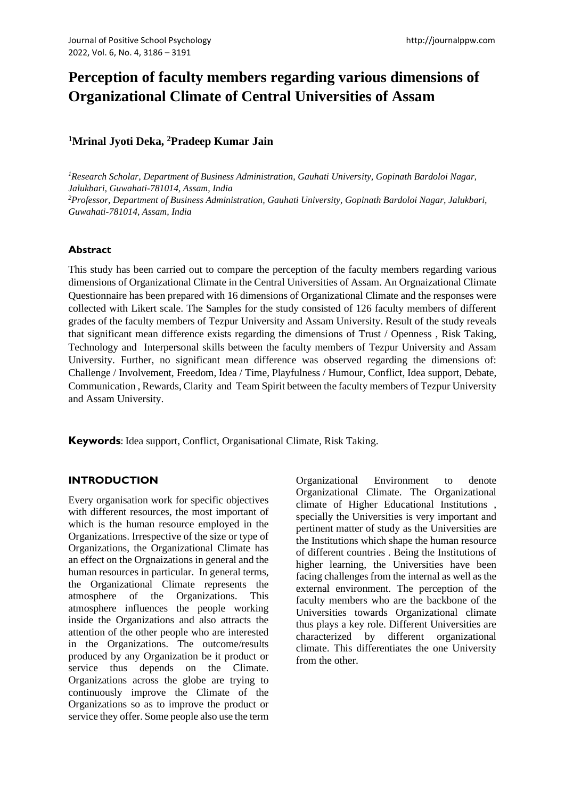# **Perception of faculty members regarding various dimensions of Organizational Climate of Central Universities of Assam**

# **<sup>1</sup>Mrinal Jyoti Deka, <sup>2</sup>Pradeep Kumar Jain**

*<sup>1</sup>Research Scholar, Department of Business Administration, Gauhati University, Gopinath Bardoloi Nagar, Jalukbari, Guwahati-781014, Assam, India <sup>2</sup>Professor, Department of Business Administration, Gauhati University, Gopinath Bardoloi Nagar, Jalukbari, Guwahati-781014, Assam, India*

# **Abstract**

This study has been carried out to compare the perception of the faculty members regarding various dimensions of Organizational Climate in the Central Universities of Assam. An Orgnaizational Climate Questionnaire has been prepared with 16 dimensions of Organizational Climate and the responses were collected with Likert scale. The Samples for the study consisted of 126 faculty members of different grades of the faculty members of Tezpur University and Assam University. Result of the study reveals that significant mean difference exists regarding the dimensions of Trust / Openness , Risk Taking, Technology and Interpersonal skills between the faculty members of Tezpur University and Assam University. Further, no significant mean difference was observed regarding the dimensions of: Challenge / Involvement, Freedom, Idea / Time, Playfulness / Humour, Conflict, Idea support, Debate, Communication , Rewards, Clarity and Team Spirit between the faculty members of Tezpur University and Assam University.

**Keywords**: Idea support, Conflict, Organisational Climate, Risk Taking.

# **INTRODUCTION**

Every organisation work for specific objectives with different resources, the most important of which is the human resource employed in the Organizations. Irrespective of the size or type of Organizations, the Organizational Climate has an effect on the Orgnaizations in general and the human resources in particular. In general terms, the Organizational Climate represents the atmosphere of the Organizations. This atmosphere influences the people working inside the Organizations and also attracts the attention of the other people who are interested in the Organizations. The outcome/results produced by any Organization be it product or service thus depends on the Climate. Organizations across the globe are trying to continuously improve the Climate of the Organizations so as to improve the product or service they offer. Some people also use the term Organizational Environment to denote Organizational Climate. The Organizational climate of Higher Educational Institutions , specially the Universities is very important and pertinent matter of study as the Universities are the Institutions which shape the human resource of different countries . Being the Institutions of higher learning, the Universities have been facing challenges from the internal as well as the external environment. The perception of the faculty members who are the backbone of the Universities towards Organizational climate thus plays a key role. Different Universities are characterized by different organizational climate. This differentiates the one University from the other.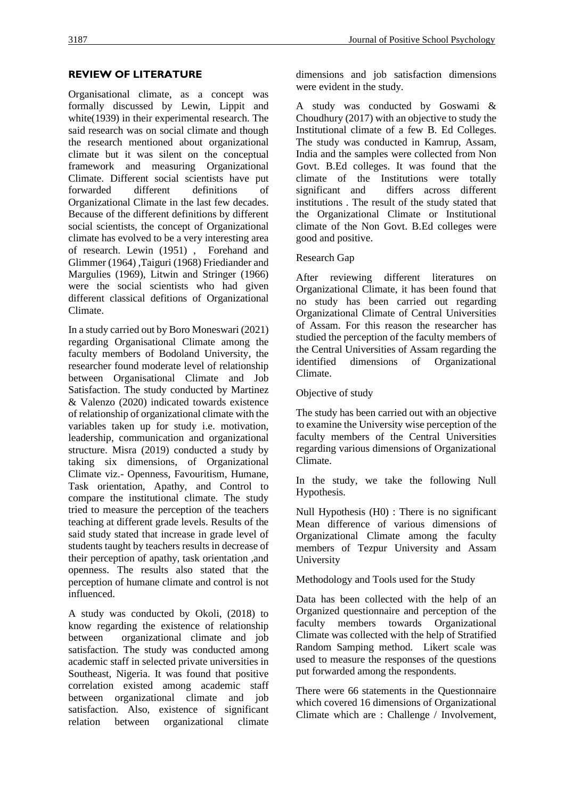## **REVIEW OF LITERATURE**

Organisational climate, as a concept was formally discussed by Lewin, Lippit and white(1939) in their experimental research. The said research was on social climate and though the research mentioned about organizational climate but it was silent on the conceptual framework and measuring Organizational Climate. Different social scientists have put forwarded different definitions of Organizational Climate in the last few decades. Because of the different definitions by different social scientists, the concept of Organizational climate has evolved to be a very interesting area of research. Lewin (1951) , Forehand and Glimmer (1964) ,Taiguri (1968) Friediander and Margulies (1969), Litwin and Stringer (1966) were the social scientists who had given different classical defitions of Organizational Climate.

In a study carried out by Boro Moneswari (2021) regarding Organisational Climate among the faculty members of Bodoland University, the researcher found moderate level of relationship between Organisational Climate and Job Satisfaction. The study conducted by Martinez & Valenzo (2020) indicated towards existence of relationship of organizational climate with the variables taken up for study i.e. motivation, leadership, communication and organizational structure. Misra (2019) conducted a study by taking six dimensions, of Organizational Climate viz.- Openness, Favouritism, Humane, Task orientation, Apathy, and Control to compare the institutional climate. The study tried to measure the perception of the teachers teaching at different grade levels. Results of the said study stated that increase in grade level of students taught by teachers results in decrease of their perception of apathy, task orientation ,and openness. The results also stated that the perception of humane climate and control is not influenced.

A study was conducted by Okoli, (2018) to know regarding the existence of relationship between organizational climate and job satisfaction. The study was conducted among academic staff in selected private universities in Southeast, Nigeria. It was found that positive correlation existed among academic staff between organizational climate and job satisfaction. Also, existence of significant relation between organizational climate dimensions and job satisfaction dimensions were evident in the study.

A study was conducted by Goswami & Choudhury (2017) with an objective to study the Institutional climate of a few B. Ed Colleges. The study was conducted in Kamrup, Assam, India and the samples were collected from Non Govt. B.Ed colleges. It was found that the climate of the Institutions were totally significant and differs across different institutions . The result of the study stated that the Organizational Climate or Institutional climate of the Non Govt. B.Ed colleges were good and positive.

#### Research Gap

After reviewing different literatures on Organizational Climate, it has been found that no study has been carried out regarding Organizational Climate of Central Universities of Assam. For this reason the researcher has studied the perception of the faculty members of the Central Universities of Assam regarding the identified dimensions of Organizational Climate.

Objective of study

The study has been carried out with an objective to examine the University wise perception of the faculty members of the Central Universities regarding various dimensions of Organizational Climate.

In the study, we take the following Null Hypothesis.

Null Hypothesis (H0) : There is no significant Mean difference of various dimensions of Organizational Climate among the faculty members of Tezpur University and Assam University

Methodology and Tools used for the Study

Data has been collected with the help of an Organized questionnaire and perception of the faculty members towards Organizational Climate was collected with the help of Stratified Random Samping method. Likert scale was used to measure the responses of the questions put forwarded among the respondents.

There were 66 statements in the Questionnaire which covered 16 dimensions of Organizational Climate which are : Challenge / Involvement,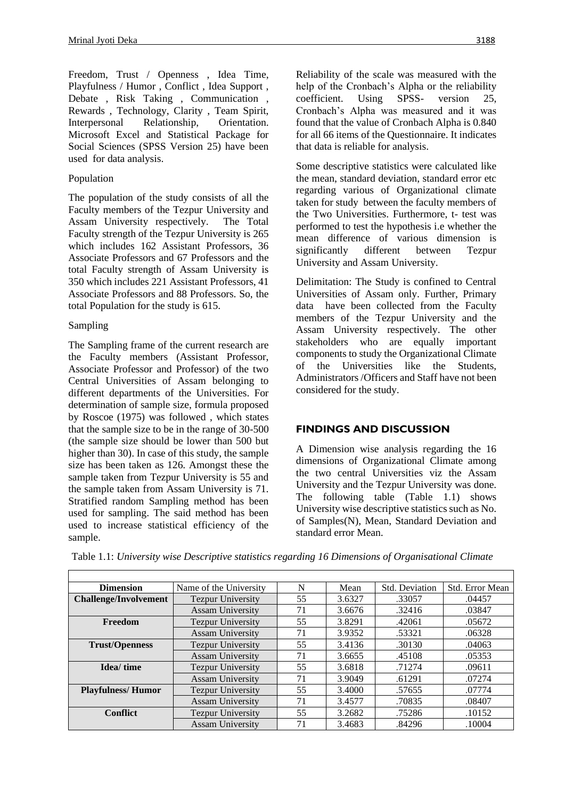Freedom, Trust / Openness , Idea Time, Playfulness / Humor , Conflict , Idea Support , Debate , Risk Taking , Communication , Rewards , Technology, Clarity , Team Spirit, Interpersonal Relationship, Orientation. Microsoft Excel and Statistical Package for Social Sciences (SPSS Version 25) have been used for data analysis.

#### Population

The population of the study consists of all the Faculty members of the Tezpur University and Assam University respectively. The Total Faculty strength of the Tezpur University is 265 which includes 162 Assistant Professors, 36 Associate Professors and 67 Professors and the total Faculty strength of Assam University is 350 which includes 221 Assistant Professors, 41 Associate Professors and 88 Professors. So, the total Population for the study is 615.

### Sampling

The Sampling frame of the current research are the Faculty members (Assistant Professor, Associate Professor and Professor) of the two Central Universities of Assam belonging to different departments of the Universities. For determination of sample size, formula proposed by Roscoe (1975) was followed , which states that the sample size to be in the range of 30-500 (the sample size should be lower than 500 but higher than 30). In case of this study, the sample size has been taken as 126. Amongst these the sample taken from Tezpur University is 55 and the sample taken from Assam University is 71. Stratified random Sampling method has been used for sampling. The said method has been used to increase statistical efficiency of the sample.

Reliability of the scale was measured with the help of the Cronbach's Alpha or the reliability coefficient. Using SPSS- version 25, Cronbach's Alpha was measured and it was found that the value of Cronbach Alpha is 0.840 for all 66 items of the Questionnaire. It indicates that data is reliable for analysis.

Some descriptive statistics were calculated like the mean, standard deviation, standard error etc regarding various of Organizational climate taken for study between the faculty members of the Two Universities. Furthermore, t- test was performed to test the hypothesis i.e whether the mean difference of various dimension is significantly different between Tezpur University and Assam University.

Delimitation: The Study is confined to Central Universities of Assam only. Further, Primary data have been collected from the Faculty members of the Tezpur University and the Assam University respectively. The other stakeholders who are equally important components to study the Organizational Climate of the Universities like the Students, Administrators /Officers and Staff have not been considered for the study.

## **FINDINGS AND DISCUSSION**

A Dimension wise analysis regarding the 16 dimensions of Organizational Climate among the two central Universities viz the Assam University and the Tezpur University was done. The following table (Table 1.1) shows University wise descriptive statistics such as No. of Samples(N), Mean, Standard Deviation and standard error Mean.

| <b>Dimension</b>             | Name of the University         | N  | Mean   | Std. Deviation | Std. Error Mean |
|------------------------------|--------------------------------|----|--------|----------------|-----------------|
| <b>Challenge/Involvement</b> | <b>Tezpur University</b>       | 55 | 3.6327 | .33057         | .04457          |
|                              | <b>Assam University</b>        | 71 | 3.6676 | .32416         | .03847          |
| Freedom                      | <b>Tezpur University</b><br>55 |    | 3.8291 | .42061         | .05672          |
|                              | <b>Assam University</b>        | 71 | 3.9352 | .53321         | .06328          |
| <b>Trust/Openness</b>        | <b>Tezpur University</b>       | 55 | 3.4136 | .30130         | .04063          |
|                              | <b>Assam University</b>        | 71 | 3.6655 | .45108         | .05353          |
| Idea/time                    | <b>Tezpur University</b>       | 55 | 3.6818 | .71274         | .09611          |
|                              | <b>Assam University</b>        | 71 | 3.9049 | .61291         | .07274          |
| <b>Playfulness/Humor</b>     | <b>Tezpur University</b>       | 55 | 3.4000 | .57655         | .07774          |
|                              | <b>Assam University</b>        | 71 | 3.4577 | .70835         | .08407          |
| <b>Conflict</b>              | <b>Tezpur University</b>       | 55 | 3.2682 | .75286         | .10152          |
|                              | <b>Assam University</b>        | 71 | 3.4683 | .84296         | .10004          |

Table 1.1: *University wise Descriptive statistics regarding 16 Dimensions of Organisational Climate*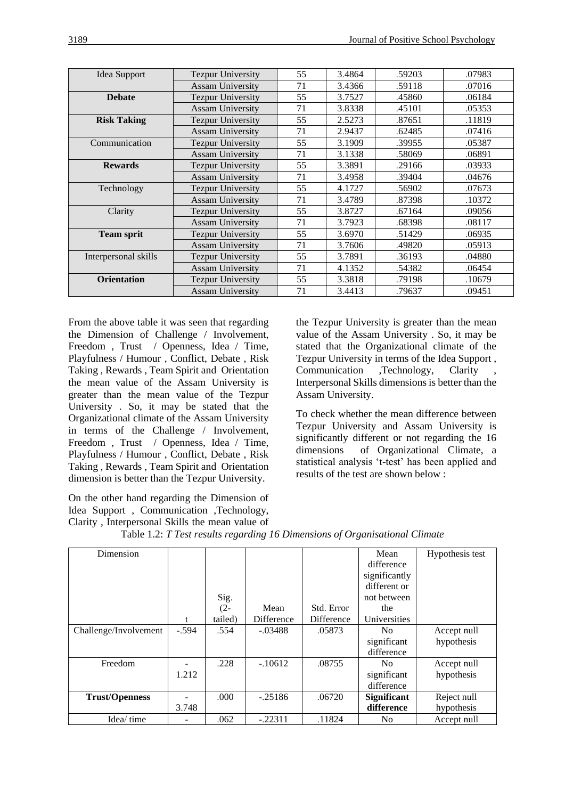| Idea Support         | <b>Tezpur University</b> | 55 | 3.4864 | .59203 | .07983 |
|----------------------|--------------------------|----|--------|--------|--------|
|                      | <b>Assam University</b>  | 71 | 3.4366 | .59118 | .07016 |
| <b>Debate</b>        | <b>Tezpur University</b> | 55 | 3.7527 | .45860 | .06184 |
|                      | <b>Assam University</b>  | 71 | 3.8338 | .45101 | .05353 |
| <b>Risk Taking</b>   | <b>Tezpur University</b> | 55 | 2.5273 | .87651 | .11819 |
|                      | <b>Assam University</b>  | 71 | 2.9437 | .62485 | .07416 |
| Communication        | <b>Tezpur University</b> | 55 | 3.1909 | .39955 | .05387 |
|                      | <b>Assam University</b>  | 71 | 3.1338 | .58069 | .06891 |
| <b>Rewards</b>       | <b>Tezpur University</b> | 55 | 3.3891 | .29166 | .03933 |
|                      | <b>Assam University</b>  | 71 | 3.4958 | .39404 | .04676 |
| Technology           | <b>Tezpur University</b> | 55 | 4.1727 | .56902 | .07673 |
|                      | <b>Assam University</b>  | 71 | 3.4789 | .87398 | .10372 |
| Clarity              | <b>Tezpur University</b> | 55 | 3.8727 | .67164 | .09056 |
|                      | <b>Assam University</b>  | 71 | 3.7923 | .68398 | .08117 |
| <b>Team sprit</b>    | <b>Tezpur University</b> | 55 | 3.6970 | .51429 | .06935 |
|                      | <b>Assam University</b>  | 71 | 3.7606 | .49820 | .05913 |
| Interpersonal skills | <b>Tezpur University</b> | 55 | 3.7891 | .36193 | .04880 |
|                      | <b>Assam University</b>  | 71 | 4.1352 | .54382 | .06454 |
| <b>Orientation</b>   | <b>Tezpur University</b> | 55 | 3.3818 | .79198 | .10679 |
|                      | <b>Assam University</b>  | 71 | 3.4413 | .79637 | .09451 |

From the above table it was seen that regarding the Dimension of Challenge / Involvement, Freedom , Trust / Openness, Idea / Time, Playfulness / Humour , Conflict, Debate , Risk Taking , Rewards , Team Spirit and Orientation the mean value of the Assam University is greater than the mean value of the Tezpur University . So, it may be stated that the Organizational climate of the Assam University in terms of the Challenge / Involvement, Freedom , Trust / Openness, Idea / Time, Playfulness / Humour , Conflict, Debate , Risk Taking , Rewards , Team Spirit and Orientation dimension is better than the Tezpur University.

On the other hand regarding the Dimension of Idea Support , Communication ,Technology, Clarity , Interpersonal Skills the mean value of the Tezpur University is greater than the mean value of the Assam University . So, it may be stated that the Organizational climate of the Tezpur University in terms of the Idea Support , Communication ,Technology, Clarity Interpersonal Skills dimensions is better than the Assam University.

To check whether the mean difference between Tezpur University and Assam University is significantly different or not regarding the 16 dimensions of Organizational Climate, a statistical analysis 't-test' has been applied and results of the test are shown below :

| Dimension             |         |         |                   |            | Mean               | Hypothesis test |
|-----------------------|---------|---------|-------------------|------------|--------------------|-----------------|
|                       |         |         |                   |            | difference         |                 |
|                       |         |         |                   |            | significantly      |                 |
|                       |         |         |                   |            | different or       |                 |
|                       |         | Sig.    |                   |            | not between        |                 |
|                       |         | $(2 -$  | Mean              | Std. Error | the                |                 |
|                       |         | tailed) | <b>Difference</b> | Difference | Universities       |                 |
| Challenge/Involvement | $-.594$ | .554    | $-.03488$         | .05873     | N <sub>0</sub>     | Accept null     |
|                       |         |         |                   |            | significant        | hypothesis      |
|                       |         |         |                   |            | difference         |                 |
| Freedom               |         | .228    | $-10612$          | .08755     | No.                | Accept null     |
|                       | 1.212   |         |                   |            | significant        | hypothesis      |
|                       |         |         |                   |            | difference         |                 |
| <b>Trust/Openness</b> |         | .000    | $-.25186$         | .06720     | <b>Significant</b> | Reject null     |
|                       | 3.748   |         |                   |            | difference         | hypothesis      |
| Idea/time             |         | .062    | $-.22311$         | .11824     | N <sub>0</sub>     | Accept null     |

Table 1.2: *T Test results regarding 16 Dimensions of Organisational Climate*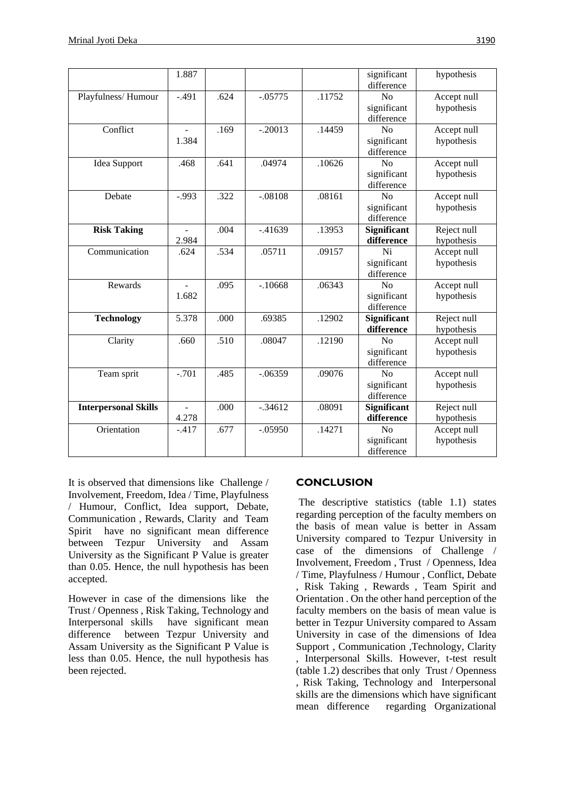|                             | 1.887          |                   |            |        | significant<br>difference | hypothesis  |
|-----------------------------|----------------|-------------------|------------|--------|---------------------------|-------------|
| Playfulness/Humour          | $-.491$        | .624              | $-05775$   | .11752 | N <sub>o</sub>            | Accept null |
|                             |                |                   |            |        | significant               | hypothesis  |
|                             |                |                   |            |        | difference                |             |
| Conflict                    | $\blacksquare$ | .169              | $-.20013$  | .14459 | N <sub>o</sub>            | Accept null |
|                             | 1.384          |                   |            |        | significant               | hypothesis  |
|                             |                |                   |            |        | difference                |             |
| Idea Support                | .468           | .641              | .04974     | .10626 | No                        | Accept null |
|                             |                |                   |            |        | significant               | hypothesis  |
|                             |                |                   |            |        | difference                |             |
| Debate                      | $-.993$        | $\overline{.}322$ | $-.08108$  | .08161 | N <sub>o</sub>            | Accept null |
|                             |                |                   |            |        | significant               | hypothesis  |
|                             |                |                   |            |        | difference                |             |
| <b>Risk Taking</b>          | $\blacksquare$ | .004              | $-0.41639$ | .13953 | Significant               | Reject null |
|                             | 2.984          |                   |            |        | difference                | hypothesis  |
| Communication               | .624           | .534              | .05711     | .09157 | Ni                        | Accept null |
|                             |                |                   |            |        | significant               | hypothesis  |
|                             |                |                   |            |        | difference                |             |
| Rewards                     |                | .095              | $-10668$   | .06343 | N <sub>o</sub>            | Accept null |
|                             | 1.682          |                   |            |        | significant               | hypothesis  |
|                             |                |                   |            |        | difference                |             |
| <b>Technology</b>           | 5.378          | .000              | .69385     | .12902 | <b>Significant</b>        | Reject null |
|                             |                |                   |            |        | difference                | hypothesis  |
| Clarity                     | .660           | .510              | .08047     | .12190 | No                        | Accept null |
|                             |                |                   |            |        | significant               | hypothesis  |
|                             |                |                   |            |        | difference                |             |
| Team sprit                  | $-.701$        | .485              | $-.06359$  | .09076 | N <sub>o</sub>            | Accept null |
|                             |                |                   |            |        | significant               | hypothesis  |
|                             |                |                   |            |        | difference                |             |
| <b>Interpersonal Skills</b> | $\sim$         | .000              | $-.34612$  | .08091 | Significant               | Reject null |
|                             | 4.278          |                   |            |        | difference                | hypothesis  |
| Orientation                 | $-.417$        | .677              | $-.05950$  | .14271 | N <sub>o</sub>            | Accept null |
|                             |                |                   |            |        | significant               | hypothesis  |
|                             |                |                   |            |        | difference                |             |

It is observed that dimensions like Challenge / Involvement, Freedom, Idea / Time, Playfulness / Humour, Conflict, Idea support, Debate, Communication , Rewards, Clarity and Team Spirit have no significant mean difference between Tezpur University and Assam University as the Significant P Value is greater than 0.05. Hence, the null hypothesis has been accepted.

However in case of the dimensions like the Trust / Openness , Risk Taking, Technology and Interpersonal skills have significant mean difference between Tezpur University and Assam University as the Significant P Value is less than 0.05. Hence, the null hypothesis has been rejected.

## **CONCLUSION**

The descriptive statistics (table 1.1) states regarding perception of the faculty members on the basis of mean value is better in Assam University compared to Tezpur University in case of the dimensions of Challenge / Involvement, Freedom , Trust / Openness, Idea / Time, Playfulness / Humour , Conflict, Debate , Risk Taking , Rewards , Team Spirit and Orientation . On the other hand perception of the faculty members on the basis of mean value is better in Tezpur University compared to Assam University in case of the dimensions of Idea Support , Communication ,Technology, Clarity , Interpersonal Skills. However, t-test result (table 1.2) describes that only Trust / Openness , Risk Taking, Technology and Interpersonal skills are the dimensions which have significant mean difference regarding Organizational